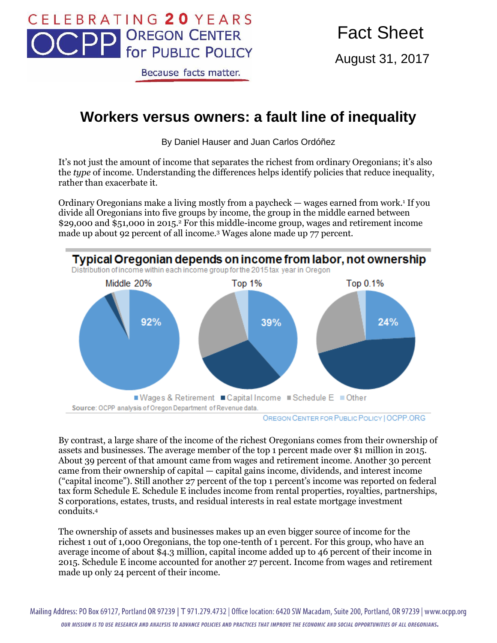

Because facts matter.

August 31, 2017

## **Workers versus owners: a fault line of inequality**

By Daniel Hauser and Juan Carlos Ordóñez

It's not just the amount of income that separates the richest from ordinary Oregonians; it's also the *type* of income. Understanding the differences helps identify policies that reduce inequality, rather than exacerbate it.

Ordinary Oregonians make a living mostly from a paycheck — wages earned from work.<sup>1</sup> If you divide all Oregonians into five groups by income, the group in the middle earned between \$29,000 and \$51,000 in 2015.<sup>2</sup> For this middle-income group, wages and retirement income made up about 92 percent of all income.<sup>3</sup> Wages alone made up 77 percent.



OREGON CENTER FOR PUBLIC POLICY | OCPP.ORG

By contrast, a large share of the income of the richest Oregonians comes from their ownership of assets and businesses. The average member of the top 1 percent made over \$1 million in 2015. About 39 percent of that amount came from wages and retirement income. Another 30 percent came from their ownership of capital — capital gains income, dividends, and interest income ("capital income"). Still another 27 percent of the top 1 percent's income was reported on federal tax form Schedule E. Schedule E includes income from rental properties, royalties, partnerships, S corporations, estates, trusts, and residual interests in real estate mortgage investment conduits.<sup>4</sup>

The ownership of assets and businesses makes up an even bigger source of income for the richest 1 out of 1,000 Oregonians, the top one-tenth of 1 percent. For this group, who have an average income of about \$4.3 million, capital income added up to 46 percent of their income in 2015. Schedule E income accounted for another 27 percent. Income from wages and retirement made up only 24 percent of their income.